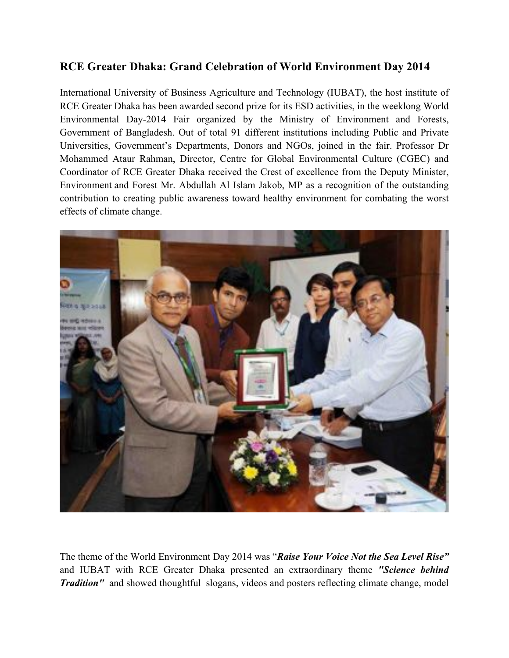## **RCE Greater Dhaka: Grand Celebration of World Environment Day 2014**

International University of Business Agriculture and Technology (IUBAT), the host institute of RCE Greater Dhaka has been awarded second prize for its ESD activities, in the weeklong World Environmental Day-2014 Fair organized by the Ministry of Environment and Forests, Government of Bangladesh. Out of total 91 different institutions including Public and Private Universities, Government's Departments, Donors and NGOs, joined in the fair. Professor Dr Mohammed Ataur Rahman, Director, Centre for Global Environmental Culture (CGEC) and Coordinator of RCE Greater Dhaka received the Crest of excellence from the Deputy Minister, Environment and Forest Mr. Abdullah Al Islam Jakob, MP as a recognition of the outstanding contribution to creating public awareness toward healthy environment for combating the worst effects of climate change.



The theme of the World Environment Day 2014 was "*Raise Your Voice Not the Sea Level Rise"* and IUBAT with RCE Greater Dhaka presented an extraordinary theme *"Science behind Tradition"* and showed thoughtful slogans, videos and posters reflecting climate change, model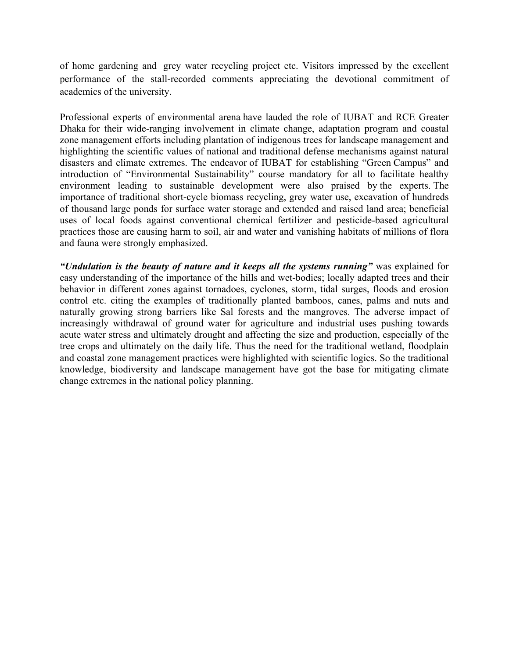of home gardening and grey water recycling project etc. Visitors impressed by the excellent performance of the stall-recorded comments appreciating the devotional commitment of academics of the university.

Professional experts of environmental arena have lauded the role of IUBAT and RCE Greater Dhaka for their wide-ranging involvement in climate change, adaptation program and coastal zone management efforts including plantation of indigenous trees for landscape management and highlighting the scientific values of national and traditional defense mechanisms against natural disasters and climate extremes. The endeavor of IUBAT for establishing "Green Campus" and introduction of "Environmental Sustainability" course mandatory for all to facilitate healthy environment leading to sustainable development were also praised by the experts. The importance of traditional short-cycle biomass recycling, grey water use, excavation of hundreds of thousand large ponds for surface water storage and extended and raised land area; beneficial uses of local foods against conventional chemical fertilizer and pesticide-based agricultural practices those are causing harm to soil, air and water and vanishing habitats of millions of flora and fauna were strongly emphasized.

*"Undulation is the beauty of nature and it keeps all the systems running"* was explained for easy understanding of the importance of the hills and wet-bodies; locally adapted trees and their behavior in different zones against tornadoes, cyclones, storm, tidal surges, floods and erosion control etc. citing the examples of traditionally planted bamboos, canes, palms and nuts and naturally growing strong barriers like Sal forests and the mangroves. The adverse impact of increasingly withdrawal of ground water for agriculture and industrial uses pushing towards acute water stress and ultimately drought and affecting the size and production, especially of the tree crops and ultimately on the daily life. Thus the need for the traditional wetland, floodplain and coastal zone management practices were highlighted with scientific logics. So the traditional knowledge, biodiversity and landscape management have got the base for mitigating climate change extremes in the national policy planning.